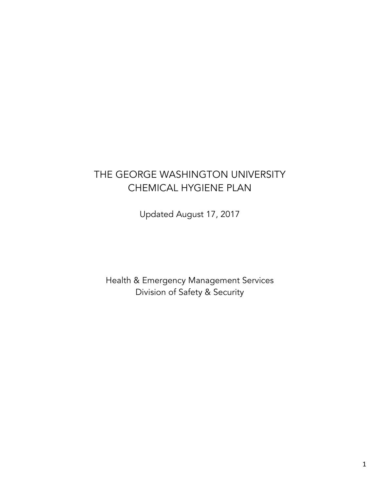# THE GEORGE WASHINGTON UNIVERSITY CHEMICAL HYGIENE PLAN

Updated August 17, 2017

Health & Emergency Management Services Division of Safety & Security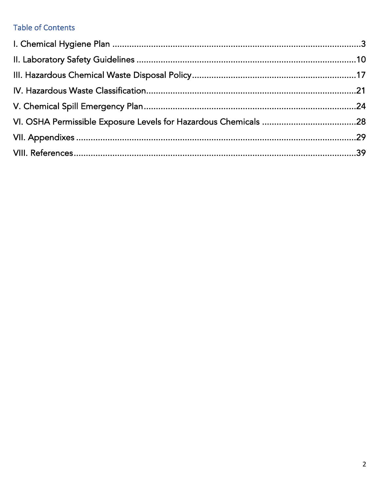# **Table of Contents**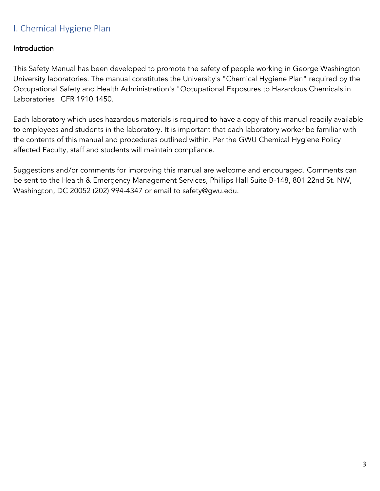# I. Chemical Hygiene Plan

### **Introduction**

This Safety Manual has been developed to promote the safety of people working in George Washington University laboratories. The manual constitutes the University's "Chemical Hygiene Plan" required by the Occupational Safety and Health Administration's "Occupational Exposures to Hazardous Chemicals in Laboratories" CFR 1910.1450.

Each laboratory which uses hazardous materials is required to have a copy of this manual readily available to employees and students in the laboratory. It is important that each laboratory worker be familiar with the contents of this manual and procedures outlined within. Per the GWU Chemical Hygiene Policy affected Faculty, staff and students will maintain compliance.

Suggestions and/or comments for improving this manual are welcome and encouraged. Comments can be sent to the Health & Emergency Management Services, Phillips Hall Suite B-148, 801 22nd St. NW, Washington, DC 20052 (202) 994-4347 or email to safety@gwu.edu.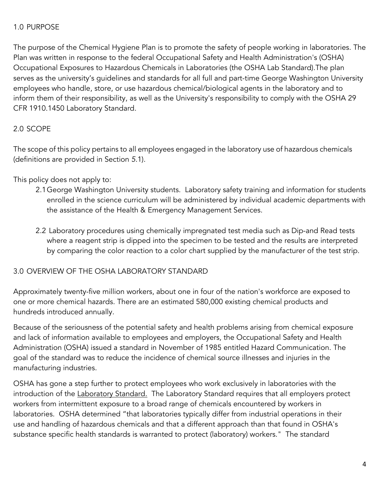### 1.0 PURPOSE

The purpose of the Chemical Hygiene Plan is to promote the safety of people working in laboratories. The Plan was written in response to the federal Occupational Safety and Health Administration's (OSHA) Occupational Exposures to Hazardous Chemicals in Laboratories (the OSHA Lab Standard).The plan serves as the university's guidelines and standards for all full and part-time George Washington University employees who handle, store, or use hazardous chemical/biological agents in the laboratory and to inform them of their responsibility, as well as the University's responsibility to comply with the OSHA 29 CFR 1910.1450 Laboratory Standard.

### 2.0 SCOPE

The scope of this policy pertains to all employees engaged in the laboratory use of hazardous chemicals (definitions are provided in Section *5*.1).

This policy does not apply to:

- 2.1George Washington University students. Laboratory safety training and information for students enrolled in the science curriculum will be administered by individual academic departments with the assistance of the Health & Emergency Management Services.
- 2.2 Laboratory procedures using chemically impregnated test media such as Dip-and Read tests where a reagent strip is dipped into the specimen to be tested and the results are interpreted by comparing the color reaction to a color chart supplied by the manufacturer of the test strip.

### 3.0 OVERVIEW OF THE OSHA LABORATORY STANDARD

Approximately twenty-five million workers, about one in four of the nation's workforce are exposed to one or more chemical hazards. There are an estimated 580,000 existing chemical products and hundreds introduced annually.

Because of the seriousness of the potential safety and health problems arising from chemical exposure and lack of information available to employees and employers, the Occupational Safety and Health Administration (OSHA) issued a standard in November of 1985 entitled Hazard Communication. The goal of the standard was to reduce the incidence of chemical source illnesses and injuries in the manufacturing industries.

OSHA has gone a step further to protect employees who work exclusively in laboratories with the introduction of the Laboratory Standard. The Laboratory Standard requires that all employers protect workers from intermittent exposure to a broad range of chemicals encountered by workers in laboratories. OSHA determined "that laboratories typically differ from industrial operations in their use and handling of hazardous chemicals and that a different approach than that found in OSHA's substance specific health standards is warranted to protect (laboratory) workers." The standard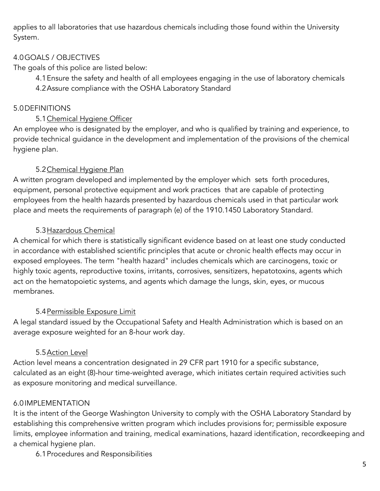applies to all laboratories that use hazardous chemicals including those found within the University System.

### 4.0GOALS / OBJECTIVES

The goals of this police are listed below:

4.1Ensure the safety and health of all employees engaging in the use of laboratory chemicals 4.2Assure compliance with the OSHA Laboratory Standard

### 5.0DEFINITIONS

### 5.1 Chemical Hygiene Officer

An employee who is designated by the employer, and who is qualified by training and experience, to provide technical guidance in the development and implementation of the provisions of the chemical hygiene plan.

### 5.2Chemical Hygiene Plan

A written program developed and implemented by the employer which sets forth procedures, equipment, personal protective equipment and work practices that are capable of protecting employees from the health hazards presented by hazardous chemicals used in that particular work place and meets the requirements of paragraph (e) of the 1910.1450 Laboratory Standard.

#### 5.3Hazardous Chemical

A chemical for which there is statistically significant evidence based on at least one study conducted in accordance with established scientific principles that acute or chronic health effects may occur in exposed employees. The term "health hazard" includes chemicals which are carcinogens, toxic or highly toxic agents, reproductive toxins, irritants, corrosives, sensitizers, hepatotoxins, agents which act on the hematopoietic systems, and agents which damage the lungs, skin, eyes, or mucous membranes.

### 5.4 Permissible Exposure Limit

A legal standard issued by the Occupational Safety and Health Administration which is based on an average exposure weighted for an 8-hour work day.

### 5.5Action Level

Action level means a concentration designated in 29 CFR part 1910 for a specific substance, calculated as an eight (8)-hour time-weighted average, which initiates certain required activities such as exposure monitoring and medical surveillance.

### 6.0IMPLEMENTATION

It is the intent of the George Washington University to comply with the OSHA Laboratory Standard by establishing this comprehensive written program which includes provisions for; permissible exposure limits, employee information and training, medical examinations, hazard identification, recordkeeping and a chemical hygiene plan.

6.1Procedures and Responsibilities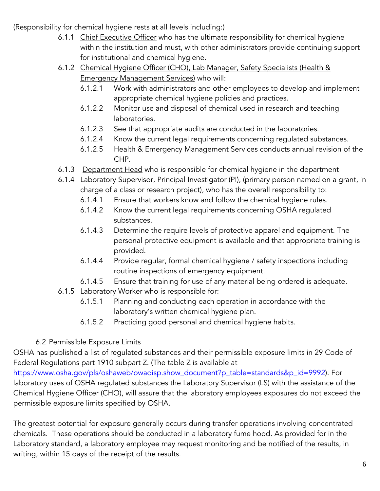(Responsibility for chemical hygiene rests at all levels including:)

- 6.1.1 Chief Executive Officer who has the ultimate responsibility for chemical hygiene within the institution and must, with other administrators provide continuing support for institutional and chemical hygiene.
- 6.1.2 Chemical Hygiene Officer (CHO), Lab Manager, Safety Specialists (Health & Emergency Management Services) who will:
	- 6.1.2.1 Work with administrators and other employees to develop and implement appropriate chemical hygiene policies and practices.
	- 6.1.2.2 Monitor use and disposal of chemical used in research and teaching laboratories.
	- 6.1.2.3 See that appropriate audits are conducted in the laboratories.
	- 6.1.2.4 Know the current legal requirements concerning regulated substances.
	- 6.1.2.5 Health & Emergency Management Services conducts annual revision of the CHP.
- 6.1.3 Department Head who is responsible for chemical hygiene in the department
- 6.1.4 Laboratory Supervisor, Principal Investigator (PI), (primary person named on a grant, in charge of a class or research project), who has the overall responsibility to:
	- 6.1.4.1 Ensure that workers know and follow the chemical hygiene rules.
	- 6.1.4.2 Know the current legal requirements concerning OSHA regulated substances.
	- 6.1.4.3 Determine the require levels of protective apparel and equipment. The personal protective equipment is available and that appropriate training is provided.
	- 6.1.4.4 Provide regular, formal chemical hygiene / safety inspections including routine inspections of emergency equipment.
	- 6.1.4.5 Ensure that training for use of any material being ordered is adequate.
- 6.1.5 Laboratory Worker who is responsible for:
	- 6.1.5.1 Planning and conducting each operation in accordance with the laboratory's written chemical hygiene plan.
	- 6.1.5.2 Practicing good personal and chemical hygiene habits.
- 6.2 Permissible Exposure Limits

OSHA has published a list of regulated substances and their permissible exposure limits in 29 Code of Federal Regulations part 1910 subpart Z. (The table Z is available at

https://www.osha.gov/pls/oshaweb/owadisp.show\_document?p\_table=standards&p\_id=9992). For laboratory uses of OSHA regulated substances the Laboratory Supervisor (LS) with the assistance of the Chemical Hygiene Officer (CHO), will assure that the laboratory employees exposures do not exceed the permissible exposure limits specified by OSHA.

The greatest potential for exposure generally occurs during transfer operations involving concentrated chemicals. These operations should be conducted in a laboratory fume hood. As provided for in the Laboratory standard, a laboratory employee may request monitoring and be notified of the results, in writing, within 15 days of the receipt of the results.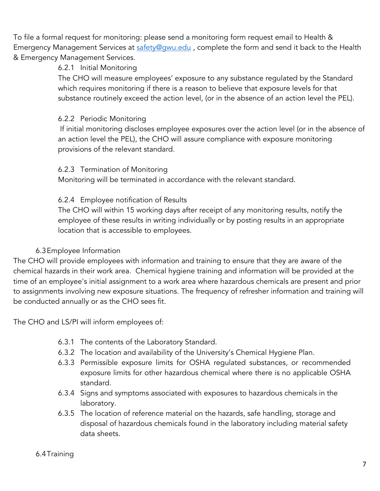To file a formal request for monitoring: please send a monitoring form request email to Health & Emergency Management Services at safety@gwu.edu, complete the form and send it back to the Health & Emergency Management Services.

### 6.2.1 Initial Monitoring

The CHO will measure employees' exposure to any substance regulated by the Standard which requires monitoring if there is a reason to believe that exposure levels for that substance routinely exceed the action level, (or in the absence of an action level the PEL).

### 6.2.2 Periodic Monitoring

If initial monitoring discloses employee exposures over the action level (or in the absence of an action level the PEL), the CHO will assure compliance with exposure monitoring provisions of the relevant standard.

#### 6.2.3 Termination of Monitoring

Monitoring will be terminated in accordance with the relevant standard.

### 6.2.4 Employee notification of Results

The CHO will within 15 working days after receipt of any monitoring results, notify the employee of these results in writing individually or by posting results in an appropriate location that is accessible to employees.

### 6.3Employee Information

The CHO will provide employees with information and training to ensure that they are aware of the chemical hazards in their work area. Chemical hygiene training and information will be provided at the time of an employee's initial assignment to a work area where hazardous chemicals are present and prior to assignments involving new exposure situations. The frequency of refresher information and training will be conducted annually or as the CHO sees fit.

The CHO and LS/PI will inform employees of:

- 6.3.1 The contents of the Laboratory Standard.
- 6.3.2 The location and availability of the University's Chemical Hygiene Plan.
- 6.3.3 Permissible exposure limits for OSHA regulated substances, or recommended exposure limits for other hazardous chemical where there is no applicable OSHA standard.
- 6.3.4 Signs and symptoms associated with exposures to hazardous chemicals in the laboratory.
- 6.3.5 The location of reference material on the hazards, safe handling, storage and disposal of hazardous chemicals found in the laboratory including material safety data sheets.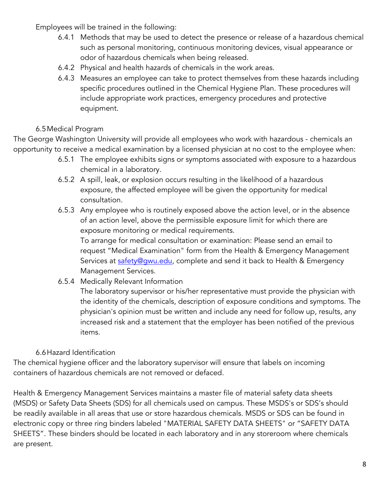Employees will be trained in the following:

- 6.4.1 Methods that may be used to detect the presence or release of a hazardous chemical such as personal monitoring, continuous monitoring devices, visual appearance or odor of hazardous chemicals when being released.
- 6.4.2 Physical and health hazards of chemicals in the work areas.
- 6.4.3 Measures an employee can take to protect themselves from these hazards including specific procedures outlined in the Chemical Hygiene Plan. These procedures will include appropriate work practices, emergency procedures and protective equipment.

## 6.5Medical Program

The George Washington University will provide all employees who work with hazardous - chemicals an opportunity to receive a medical examination by a licensed physician at no cost to the employee when:

- 6.5.1 The employee exhibits signs or symptoms associated with exposure to a hazardous chemical in a laboratory.
- 6.5.2 A spill, leak, or explosion occurs resulting in the likelihood of a hazardous exposure, the affected employee will be given the opportunity for medical consultation.
- 6.5.3 Any employee who is routinely exposed above the action level, or in the absence of an action level, above the permissible exposure limit for which there are exposure monitoring or medical requirements.

To arrange for medical consultation or examination: Please send an email to request "Medical Examination" form from the Health & Emergency Management Services at safety@qwu.edu, complete and send it back to Health & Emergency Management Services.

6.5.4 Medically Relevant Information

The laboratory supervisor or his/her representative must provide the physician with the identity of the chemicals, description of exposure conditions and symptoms. The physician's opinion must be written and include any need for follow up, results, any increased risk and a statement that the employer has been notified of the previous items.

### 6.6Hazard Identification

The chemical hygiene officer and the laboratory supervisor will ensure that labels on incoming containers of hazardous chemicals are not removed or defaced.

Health & Emergency Management Services maintains a master file of material safety data sheets (MSDS) or Safety Data Sheets (SDS) for all chemicals used on campus. These MSDS's or SDS's should be readily available in all areas that use or store hazardous chemicals. MSDS or SDS can be found in electronic copy or three ring binders labeled "MATERIAL SAFETY DATA SHEETS" or "SAFETY DATA SHEETS". These binders should be located in each laboratory and in any storeroom where chemicals are present.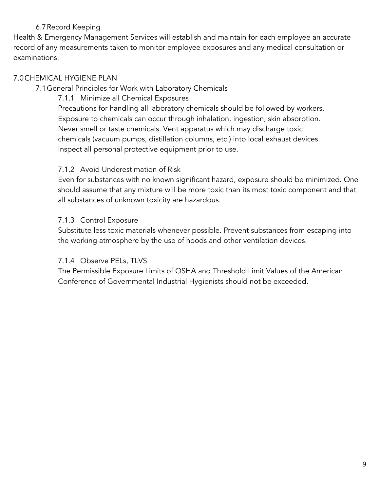### 6.7Record Keeping

Health & Emergency Management Services will establish and maintain for each employee an accurate record of any measurements taken to monitor employee exposures and any medical consultation or examinations.

### 7.0CHEMICAL HYGIENE PLAN

7.1General Principles for Work with Laboratory Chemicals

7.1.1 Minimize all Chemical Exposures

Precautions for handling all laboratory chemicals should be followed by workers. Exposure to chemicals can occur through inhalation, ingestion, skin absorption. Never smell or taste chemicals. Vent apparatus which may discharge toxic chemicals (vacuum pumps, distillation columns, etc.) into local exhaust devices. Inspect all personal protective equipment prior to use.

#### 7.1.2 Avoid Underestimation of Risk

Even for substances with no known significant hazard, exposure should be minimized. One should assume that any mixture will be more toxic than its most toxic component and that all substances of unknown toxicity are hazardous.

### 7.1.3 Control Exposure

Substitute less toxic materials whenever possible. Prevent substances from escaping into the working atmosphere by the use of hoods and other ventilation devices.

### 7.1.4 Observe PELs, TLVS

The Permissible Exposure Limits of OSHA and Threshold Limit Values of the American Conference of Governmental Industrial Hygienists should not be exceeded.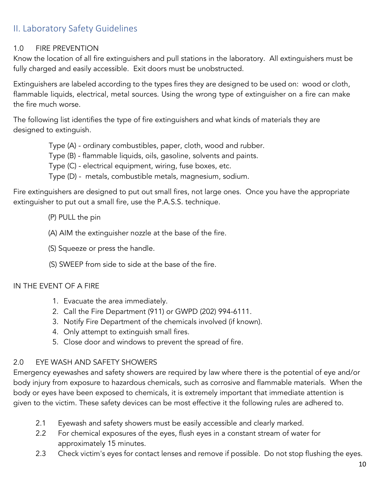# II. Laboratory Safety Guidelines

### 1.0 FIRE PREVENTION

Know the location of all fire extinguishers and pull stations in the laboratory. All extinguishers must be fully charged and easily accessible. Exit doors must be unobstructed.

Extinguishers are labeled according to the types fires they are designed to be used on: wood or cloth, flammable liquids, electrical, metal sources. Using the wrong type of extinguisher on a fire can make the fire much worse.

The following list identifies the type of fire extinguishers and what kinds of materials they are designed to extinguish.

- Type (A) ordinary combustibles, paper, cloth, wood and rubber.
- Type (B) flammable liquids, oils, gasoline, solvents and paints.
- Type (C) electrical equipment, wiring, fuse boxes, etc.
- Type (D) metals, combustible metals, magnesium, sodium.

Fire extinguishers are designed to put out small fires, not large ones. Once you have the appropriate extinguisher to put out a small fire, use the P.A.S.S. technique.

- (P) PULL the pin
- (A) AIM the extinguisher nozzle at the base of the fire.
- (S) Squeeze or press the handle.
- (S) SWEEP from side to side at the base of the fire.

### IN THE EVENT OF A FIRE

- 1. Evacuate the area immediately.
- 2. Call the Fire Department (911) or GWPD (202) 994-6111.
- 3. Notify Fire Department of the chemicals involved (if known).
- 4. Only attempt to extinguish small fires.
- 5. Close door and windows to prevent the spread of fire.

#### 2.0 EYE WASH AND SAFETY SHOWERS

Emergency eyewashes and safety showers are required by law where there is the potential of eye and/or body injury from exposure to hazardous chemicals, such as corrosive and flammable materials. When the body or eyes have been exposed to chemicals, it is extremely important that immediate attention is given to the victim. These safety devices can be most effective it the following rules are adhered to.

- 2.1 Eyewash and safety showers must be easily accessible and clearly marked.
- 2.2 For chemical exposures of the eyes, flush eyes in a constant stream of water for approximately 15 minutes.
- 2.3 Check victim's eyes for contact lenses and remove if possible. Do not stop flushing the eyes.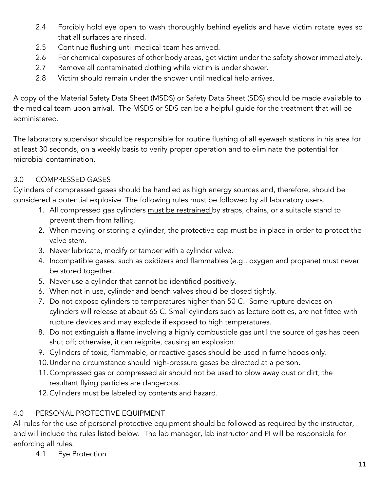- 2.4 Forcibly hold eye open to wash thoroughly behind eyelids and have victim rotate eyes so that all surfaces are rinsed.
- 2.5 Continue flushing until medical team has arrived.
- 2.6 For chemical exposures of other body areas, get victim under the safety shower immediately.
- 2.7 Remove all contaminated clothing while victim is under shower.
- 2.8 Victim should remain under the shower until medical help arrives.

A copy of the Material Safety Data Sheet (MSDS) or Safety Data Sheet (SDS) should be made available to the medical team upon arrival. The MSDS or SDS can be a helpful guide for the treatment that will be administered.

The laboratory supervisor should be responsible for routine flushing of all eyewash stations in his area for at least 30 seconds, on a weekly basis to verify proper operation and to eliminate the potential for microbial contamination.

## 3.0 COMPRESSED GASES

Cylinders of compressed gases should be handled as high energy sources and, therefore, should be considered a potential explosive. The following rules must be followed by all laboratory users.

- 1. All compressed gas cylinders must be restrained by straps, chains, or a suitable stand to prevent them from falling.
- 2. When moving or storing a cylinder, the protective cap must be in place in order to protect the valve stem.
- 3. Never lubricate, modify or tamper with a cylinder valve.
- 4. Incompatible gases, such as oxidizers and flammables (e.g., oxygen and propane) must never be stored together.
- 5. Never use a cylinder that cannot be identified positively.
- 6. When not in use, cylinder and bench valves should be closed tightly.
- 7. Do not expose cylinders to temperatures higher than 50 C. Some rupture devices on cylinders will release at about 65 C. Small cylinders such as lecture bottles, are not fitted with rupture devices and may explode if exposed to high temperatures.
- 8. Do not extinguish a flame involving a highly combustible gas until the source of gas has been shut off; otherwise, it can reignite, causing an explosion.
- 9. Cylinders of toxic, flammable, or reactive gases should be used in fume hoods only.
- 10.Under no circumstance should high-pressure gases be directed at a person.
- 11.Compressed gas or compressed air should not be used to blow away dust or dirt; the resultant flying particles are dangerous.
- 12.Cylinders must be labeled by contents and hazard.

## 4.0 PERSONAL PROTECTIVE EQUIPMENT

All rules for the use of personal protective equipment should be followed as required by the instructor, and will include the rules listed below. The lab manager, lab instructor and PI will be responsible for enforcing all rules.

4.1 Eye Protection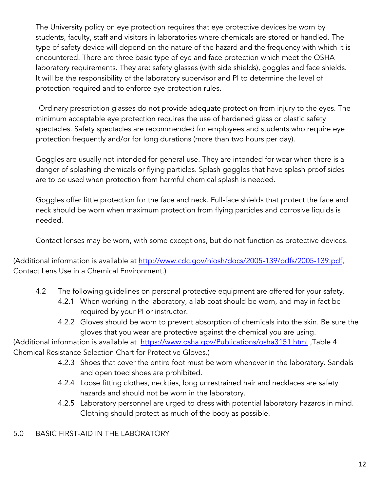The University policy on eye protection requires that eye protective devices be worn by students, faculty, staff and visitors in laboratories where chemicals are stored or handled. The type of safety device will depend on the nature of the hazard and the frequency with which it is encountered. There are three basic type of eye and face protection which meet the OSHA laboratory requirements. They are: safety glasses (with side shields), goggles and face shields. It will be the responsibility of the laboratory supervisor and PI to determine the level of protection required and to enforce eye protection rules.

Ordinary prescription glasses do not provide adequate protection from injury to the eyes. The minimum acceptable eye protection requires the use of hardened glass or plastic safety spectacles. Safety spectacles are recommended for employees and students who require eye protection frequently and/or for long durations (more than two hours per day).

Goggles are usually not intended for general use. They are intended for wear when there is a danger of splashing chemicals or flying particles. Splash goggles that have splash proof sides are to be used when protection from harmful chemical splash is needed.

Goggles offer little protection for the face and neck. Full-face shields that protect the face and neck should be worn when maximum protection from flying particles and corrosive liquids is needed.

Contact lenses may be worn, with some exceptions, but do not function as protective devices.

(Additional information is available at http://www.cdc.gov/niosh/docs/2005-139/pdfs/2005-139.pdf, Contact Lens Use in a Chemical Environment.)

- 4.2 The following guidelines on personal protective equipment are offered for your safety.
	- 4.2.1 When working in the laboratory, a lab coat should be worn, and may in fact be required by your PI or instructor.
	- 4.2.2 Gloves should be worn to prevent absorption of chemicals into the skin. Be sure the gloves that you wear are protective against the chemical you are using.

(Additional information is available at https://www.osha.gov/Publications/osha3151.html, Table 4 Chemical Resistance Selection Chart for Protective Gloves.)

- 4.2.3 Shoes that cover the entire foot must be worn whenever in the laboratory. Sandals and open toed shoes are prohibited.
- 4.2.4 Loose fitting clothes, neckties, long unrestrained hair and necklaces are safety hazards and should not be worn in the laboratory.
- 4.2.5 Laboratory personnel are urged to dress with potential laboratory hazards in mind. Clothing should protect as much of the body as possible.

### 5.0 BASIC FIRST-AID IN THE LABORATORY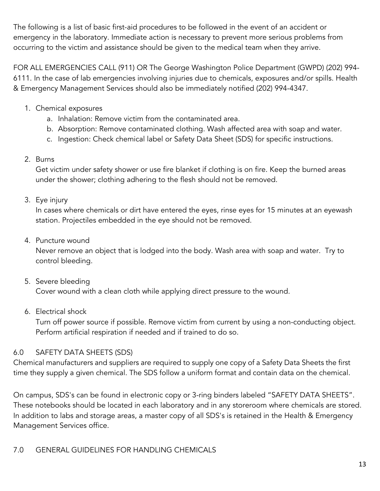The following is a list of basic first-aid procedures to be followed in the event of an accident or emergency in the laboratory. Immediate action is necessary to prevent more serious problems from occurring to the victim and assistance should be given to the medical team when they arrive.

FOR ALL EMERGENCIES CALL (911) OR The George Washington Police Department (GWPD) (202) 994- 6111. In the case of lab emergencies involving injuries due to chemicals, exposures and/or spills. Health & Emergency Management Services should also be immediately notified (202) 994-4347.

- 1. Chemical exposures
	- a. Inhalation: Remove victim from the contaminated area.
	- b. Absorption: Remove contaminated clothing. Wash affected area with soap and water.
	- c. Ingestion: Check chemical label or Safety Data Sheet (SDS) for specific instructions.
- 2. Burns

Get victim under safety shower or use fire blanket if clothing is on fire. Keep the burned areas under the shower; clothing adhering to the flesh should not be removed.

3. Eye injury

In cases where chemicals or dirt have entered the eyes, rinse eyes for 15 minutes at an eyewash station. Projectiles embedded in the eye should not be removed.

4. Puncture wound

Never remove an object that is lodged into the body. Wash area with soap and water. Try to control bleeding.

5. Severe bleeding

Cover wound with a clean cloth while applying direct pressure to the wound.

6. Electrical shock

Turn off power source if possible. Remove victim from current by using a non-conducting object. Perform artificial respiration if needed and if trained to do so.

# 6.0 SAFETY DATA SHEETS (SDS)

Chemical manufacturers and suppliers are required to supply one copy of a Safety Data Sheets the first time they supply a given chemical. The SDS follow a uniform format and contain data on the chemical.

On campus, SDS's can be found in electronic copy or 3-ring binders labeled "SAFETY DATA SHEETS". These notebooks should be located in each laboratory and in any storeroom where chemicals are stored. In addition to labs and storage areas, a master copy of all SDS's is retained in the Health & Emergency Management Services office.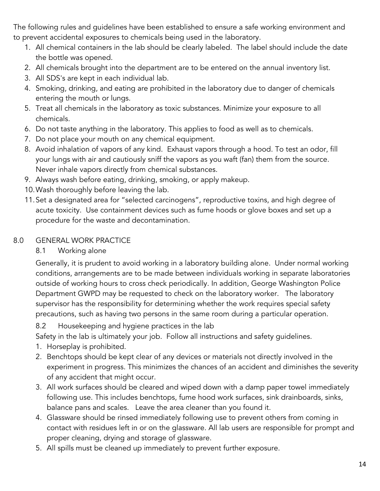The following rules and guidelines have been established to ensure a safe working environment and to prevent accidental exposures to chemicals being used in the laboratory.

- 1. All chemical containers in the lab should be clearly labeled. The label should include the date the bottle was opened.
- 2. All chemicals brought into the department are to be entered on the annual inventory list.
- 3. All SDS's are kept in each individual lab.
- 4. Smoking, drinking, and eating are prohibited in the laboratory due to danger of chemicals entering the mouth or lungs.
- 5. Treat all chemicals in the laboratory as toxic substances. Minimize your exposure to all chemicals.
- 6. Do not taste anything in the laboratory. This applies to food as well as to chemicals.
- 7. Do not place your mouth on any chemical equipment.
- 8. Avoid inhalation of vapors of any kind. Exhaust vapors through a hood. To test an odor, fill your lungs with air and cautiously sniff the vapors as you waft (fan) them from the source. Never inhale vapors directly from chemical substances.
- 9. Always wash before eating, drinking, smoking, or apply makeup.
- 10.Wash thoroughly before leaving the lab.
- 11.Set a designated area for "selected carcinogens", reproductive toxins, and high degree of acute toxicity. Use containment devices such as fume hoods or glove boxes and set up a procedure for the waste and decontamination.

### 8.0 GENERAL WORK PRACTICE

### 8.1 Working alone

Generally, it is prudent to avoid working in a laboratory building alone. Under normal working conditions, arrangements are to be made between individuals working in separate laboratories outside of working hours to cross check periodically. In addition, George Washington Police Department GWPD may be requested to check on the laboratory worker. The laboratory supervisor has the responsibility for determining whether the work requires special safety precautions, such as having two persons in the same room during a particular operation.

8.2 Housekeeping and hygiene practices in the lab

Safety in the lab is ultimately your job. Follow all instructions and safety guidelines.

- 1. Horseplay is prohibited.
- 2. Benchtops should be kept clear of any devices or materials not directly involved in the experiment in progress. This minimizes the chances of an accident and diminishes the severity of any accident that might occur.
- 3. All work surfaces should be cleared and wiped down with a damp paper towel immediately following use. This includes benchtops, fume hood work surfaces, sink drainboards, sinks, balance pans and scales. Leave the area cleaner than you found it.
- 4. Glassware should be rinsed immediately following use to prevent others from coming in contact with residues left in or on the glassware. All lab users are responsible for prompt and proper cleaning, drying and storage of glassware.
- 5. All spills must be cleaned up immediately to prevent further exposure.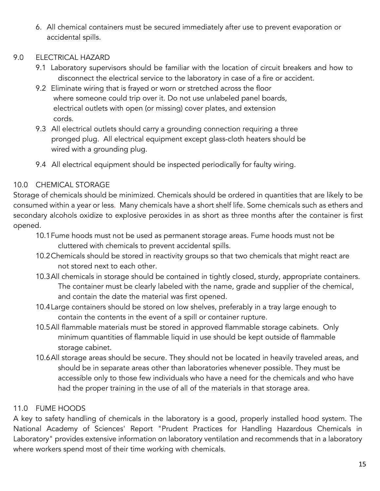6. All chemical containers must be secured immediately after use to prevent evaporation or accidental spills.

### 9.0 ELECTRICAL HAZARD

- 9.1 Laboratory supervisors should be familiar with the location of circuit breakers and how to disconnect the electrical service to the laboratory in case of a fire or accident.
- 9.2 Eliminate wiring that is frayed or worn or stretched across the floor where someone could trip over it. Do not use unlabeled panel boards, electrical outlets with open (or missing) cover plates, and extension cords.
- 9.3 All electrical outlets should carry a grounding connection requiring a three pronged plug. All electrical equipment except glass-cloth heaters should be wired with a grounding plug.
- 9.4 All electrical equipment should be inspected periodically for faulty wiring.

### 10.0 CHEMICAL STORAGE

Storage of chemicals should be minimized. Chemicals should be ordered in quantities that are likely to be consumed within a year or less. Many chemicals have a short shelf life. Some chemicals such as ethers and secondary alcohols oxidize to explosive peroxides in as short as three months after the container is first opened.

- 10.1Fume hoods must not be used as permanent storage areas. Fume hoods must not be cluttered with chemicals to prevent accidental spills.
- 10.2Chemicals should be stored in reactivity groups so that two chemicals that might react are not stored next to each other.
- 10.3All chemicals in storage should be contained in tightly closed, sturdy, appropriate containers. The container must be clearly labeled with the name, grade and supplier of the chemical, and contain the date the material was first opened.
- 10.4Large containers should be stored on low shelves, preferably in a tray large enough to contain the contents in the event of a spill or container rupture.
- 10.5All flammable materials must be stored in approved flammable storage cabinets. Only minimum quantities of flammable liquid in use should be kept outside of flammable storage cabinet.
- 10.6All storage areas should be secure. They should not be located in heavily traveled areas, and should be in separate areas other than laboratories whenever possible. They must be accessible only to those few individuals who have a need for the chemicals and who have had the proper training in the use of all of the materials in that storage area.

### 11.0 FUME HOODS

A key to safety handling of chemicals in the laboratory is a good, properly installed hood system. The National Academy of Sciences' Report "Prudent Practices for Handling Hazardous Chemicals in Laboratory" provides extensive information on laboratory ventilation and recommends that in a laboratory where workers spend most of their time working with chemicals.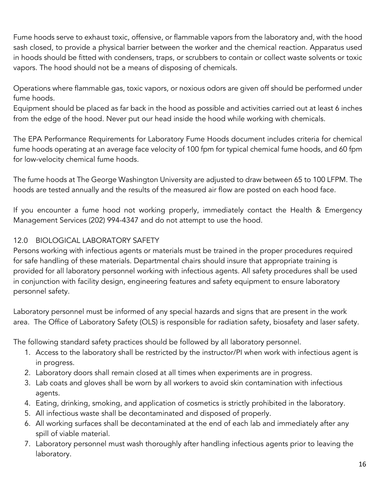Fume hoods serve to exhaust toxic, offensive, or flammable vapors from the laboratory and, with the hood sash closed, to provide a physical barrier between the worker and the chemical reaction. Apparatus used in hoods should be fitted with condensers, traps, or scrubbers to contain or collect waste solvents or toxic vapors. The hood should not be a means of disposing of chemicals.

Operations where flammable gas, toxic vapors, or noxious odors are given off should be performed under fume hoods.

Equipment should be placed as far back in the hood as possible and activities carried out at least 6 inches from the edge of the hood. Never put our head inside the hood while working with chemicals.

The EPA Performance Requirements for Laboratory Fume Hoods document includes criteria for chemical fume hoods operating at an average face velocity of 100 fpm for typical chemical fume hoods, and 60 fpm for low-velocity chemical fume hoods.

The fume hoods at The George Washington University are adjusted to draw between 65 to 100 LFPM. The hoods are tested annually and the results of the measured air flow are posted on each hood face.

If you encounter a fume hood not working properly, immediately contact the Health & Emergency Management Services (202) 994-4347 and do not attempt to use the hood.

### 12.0 BIOLOGICAL LABORATORY SAFETY

Persons working with infectious agents or materials must be trained in the proper procedures required for safe handling of these materials. Departmental chairs should insure that appropriate training is provided for all laboratory personnel working with infectious agents. All safety procedures shall be used in conjunction with facility design, engineering features and safety equipment to ensure laboratory personnel safety.

Laboratory personnel must be informed of any special hazards and signs that are present in the work area. The Office of Laboratory Safety (OLS) is responsible for radiation safety, biosafety and laser safety.

The following standard safety practices should be followed by all laboratory personnel.

- 1. Access to the laboratory shall be restricted by the instructor/PI when work with infectious agent is in progress.
- 2. Laboratory doors shall remain closed at all times when experiments are in progress.
- 3. Lab coats and gloves shall be worn by all workers to avoid skin contamination with infectious agents.
- 4. Eating, drinking, smoking, and application of cosmetics is strictly prohibited in the laboratory.
- 5. All infectious waste shall be decontaminated and disposed of properly.
- 6. All working surfaces shall be decontaminated at the end of each lab and immediately after any spill of viable material.
- 7. Laboratory personnel must wash thoroughly after handling infectious agents prior to leaving the laboratory.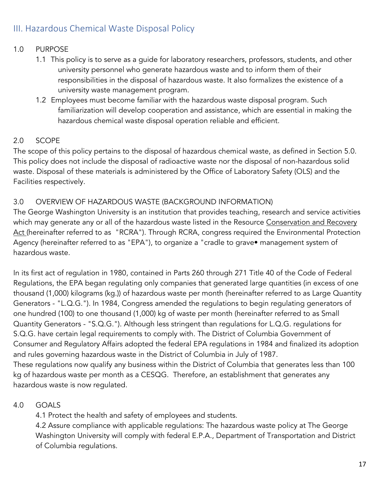# III. Hazardous Chemical Waste Disposal Policy

### 1.0 PURPOSE

- 1.1 This policy is to serve as a guide for laboratory researchers, professors, students, and other university personnel who generate hazardous waste and to inform them of their responsibilities in the disposal of hazardous waste. It also formalizes the existence of a university waste management program.
- 1.2 Employees must become familiar with the hazardous waste disposal program. Such familiarization will develop cooperation and assistance, which are essential in making the hazardous chemical waste disposal operation reliable and efficient.

### 2.0 SCOPE

The scope of this policy pertains to the disposal of hazardous chemical waste, as defined in Section 5.0. This policy does not include the disposal of radioactive waste nor the disposal of non-hazardous solid waste. Disposal of these materials is administered by the Office of Laboratory Safety (OLS) and the Facilities respectively.

### 3.0 OVERVIEW OF HAZARDOUS WASTE (BACKGROUND INFORMATION)

The George Washington University is an institution that provides teaching, research and service activities which may generate any or all of the hazardous waste listed in the Resource Conservation and Recovery Act (hereinafter referred to as "RCRA"). Through RCRA, congress required the Environmental Protection Agency (hereinafter referred to as "EPA"), to organize a "cradle to grave• management system of hazardous waste.

In its first act of regulation in 1980, contained in Parts 260 through 271 Title 40 of the Code of Federal Regulations, the EPA began regulating only companies that generated large quantities (in excess of one thousand (1,000) kilograms (kg.)) of hazardous waste per month (hereinafter referred to as Large Quantity Generators - "L.Q.G."). In 1984, Congress amended the regulations to begin regulating generators of one hundred (100) to one thousand (1,000) kg of waste per month (hereinafter referred to as Small Quantity Generators - "S.Q.G."). Although less stringent than regulations for L.Q.G. regulations for S.Q.G. have certain legal requirements to comply with. The District of Columbia Government of Consumer and Regulatory Affairs adopted the federal EPA regulations in 1984 and finalized its adoption and rules governing hazardous waste in the District of Columbia in July of 1987. These regulations now qualify any business within the District of Columbia that generates less than 100 kg of hazardous waste per month as a CESQG. Therefore, an establishment that generates any hazardous waste is now regulated.

### 4.0 GOALS

4.1 Protect the health and safety of employees and students.

4.2 Assure compliance with applicable regulations: The hazardous waste policy at The George Washington University will comply with federal E.P.A., Department of Transportation and District of Columbia regulations.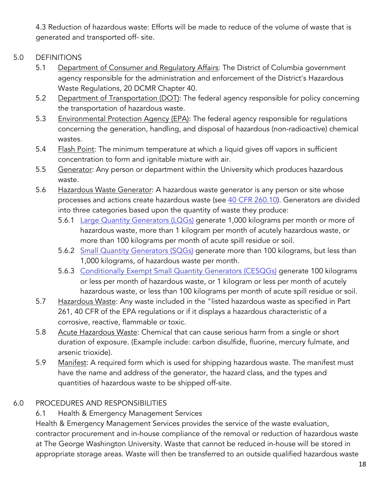4.3 Reduction of hazardous waste: Efforts will be made to reduce of the volume of waste that is generated and transported off- site.

### 5.0 DEFINITIONS

- 5.1 Department of Consumer and Regulatory Affairs: The District of Columbia government agency responsible for the administration and enforcement of the District's Hazardous Waste Regulations, 20 DCMR Chapter 40.
- 5.2 Department of Transportation (DOT): The federal agency responsible for policy concerning the transportation of hazardous waste.
- 5.3 Environmental Protection Agency (EPA): The federal agency responsible for regulations concerning the generation, handling, and disposal of hazardous (non-radioactive) chemical wastes.
- 5.4 Flash Point: The minimum temperature at which a liquid gives off vapors in sufficient concentration to form and ignitable mixture with air.
- 5.5 Generator: Any person or department within the University which produces hazardous waste.
- 5.6 Hazardous Waste Generator: A hazardous waste generator is any person or site whose processes and actions create hazardous waste (see 40 CFR 260.10). Generators are divided into three categories based upon the quantity of waste they produce:
	- 5.6.1 Large Quantity Generators (LQGs) generate 1,000 kilograms per month or more of hazardous waste, more than 1 kilogram per month of acutely hazardous waste, or more than 100 kilograms per month of acute spill residue or soil.
	- 5.6.2 Small Quantity Generators (SQGs) generate more than 100 kilograms, but less than 1,000 kilograms, of hazardous waste per month.
	- 5.6.3 Conditionally Exempt Small Quantity Generators (CESQGs) generate 100 kilograms or less per month of hazardous waste, or 1 kilogram or less per month of acutely hazardous waste, or less than 100 kilograms per month of acute spill residue or soil.
- 5.7 Hazardous Waste: Any waste included in the "listed hazardous waste as specified in Part 261, 40 CFR of the EPA regulations or if it displays a hazardous characteristic of a corrosive, reactive, flammable or toxic.
- 5.8 Acute Hazardous Waste: Chemical that can cause serious harm from a single or short duration of exposure. (Example include: carbon disulfide, fluorine, mercury fulmate, and arsenic trioxide).
- 5.9 Manifest: A required form which is used for shipping hazardous waste. The manifest must have the name and address of the generator, the hazard class, and the types and quantities of hazardous waste to be shipped off-site.

### 6.0 PROCEDURES AND RESPONSIBILITIES

### 6.1 Health & Emergency Management Services

Health & Emergency Management Services provides the service of the waste evaluation, contractor procurement and in-house compliance of the removal or reduction of hazardous waste at The George Washington University. Waste that cannot be reduced in-house will be stored in appropriate storage areas. Waste will then be transferred to an outside qualified hazardous waste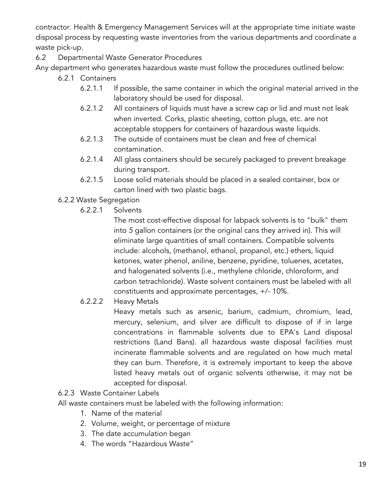contractor. Health & Emergency Management Services will at the appropriate time initiate waste disposal process by requesting waste inventories from the various departments and coordinate a waste pick-up.

### 6.2 Departmental Waste Generator Procedures

Any department who generates hazardous waste must follow the procedures outlined below:

- 6.2.1 Containers
	- 6.2.1.1 If possible, the same container in which the original material arrived in the laboratory should be used for disposal.
	- 6.2.1.2 All containers of liquids must have a screw cap or lid and must not leak when inverted. Corks, plastic sheeting, cotton plugs, etc. are not acceptable stoppers for containers of hazardous waste liquids.
	- 6.2.1.3 The outside of containers must be clean and free of chemical contamination.
	- 6.2.1.4 All glass containers should be securely packaged to prevent breakage during transport.
	- 6.2.1.5 Loose solid materials should be placed in a sealed container, box or carton lined with two plastic bags.
- 6.2.2 Waste Segregation
	- 6.2.2.1 Solvents

The most cost-effective disposal for labpack solvents is to "bulk" them into *5* gallon containers (or the original cans they arrived in). This will eliminate large quantities of small containers. Compatible solvents include: alcohols, (methanol, ethanol, propanol, etc.) ethers, liquid ketones, water phenol, aniline, benzene, pyridine, toluenes, acetates, and halogenated solvents (i.e., methylene chloride, chloroform, and carbon tetrachloride). Waste solvent containers must be labeled with all constituents and approximate percentages, +/- 10%.

6.2.2.2 Heavy Metals

Heavy metals such as arsenic, barium, cadmium, chromium, lead, mercury, selenium, and silver are difficult to dispose of if in large concentrations in flammable solvents due to EPA's Land disposal restrictions (Land Bans). all hazardous waste disposal facilities must incinerate flammable solvents and are regulated on how much metal they can burn. Therefore, it is extremely important to keep the above listed heavy metals out of organic solvents otherwise, it may not be accepted for disposal.

6.2.3 Waste Container Labels

All waste containers must be labeled with the following information:

- 1. Name of the material
- 2. Volume, weight, or percentage of mixture
- 3. The date accumulation began
- 4. The words "Hazardous Waste"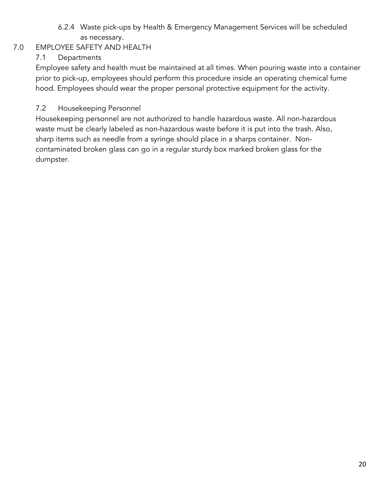### 6.2.4 Waste pick-ups by Health & Emergency Management Services will be scheduled as necessary.

## 7.0 EMPLOYEE SAFETY AND HEALTH

## 7.1 Departments

Employee safety and health must be maintained at all times. When pouring waste into a container prior to pick-up, employees should perform this procedure inside an operating chemical fume hood. Employees should wear the proper personal protective equipment for the activity.

### 7.2 Housekeeping Personnel

Housekeeping personnel are not authorized to handle hazardous waste. All non-hazardous waste must be clearly labeled as non-hazardous waste before it is put into the trash. Also, sharp items such as needle from a syringe should place in a sharps container. Noncontaminated broken glass can go in a regular sturdy box marked broken glass for the dumpster.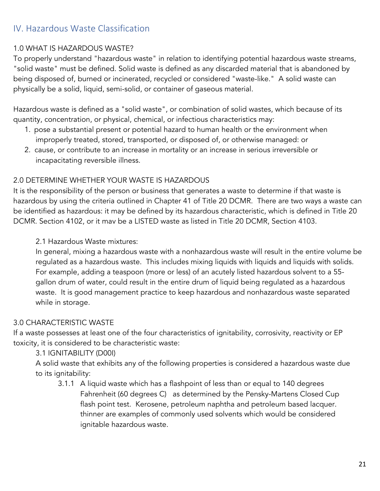# IV. Hazardous Waste Classification

### 1.0 WHAT IS HAZARDOUS WASTE?

To properly understand "hazardous waste" in relation to identifying potential hazardous waste streams, "solid waste" must be defined. Solid waste is defined as any discarded material that is abandoned by being disposed of, burned or incinerated, recycled or considered "waste-like." A solid waste can physically be a solid, liquid, semi-solid, or container of gaseous material.

Hazardous waste is defined as a "solid waste", or combination of solid wastes, which because of its quantity, concentration, or physical, chemical, or infectious characteristics may:

- 1. pose a substantial present or potential hazard to human health or the environment when improperly treated, stored, transported, or disposed of, or otherwise managed: or
- 2. cause, or contribute to an increase in mortality or an increase in serious irreversible or incapacitating reversible illness.

#### 2.0 DETERMINE WHETHER YOUR WASTE IS HAZARDOUS

It is the responsibility of the person or business that generates a waste to determine if that waste is hazardous by using the criteria outlined in Chapter 41 of Title 20 DCMR. There are two ways a waste can be identified as hazardous: it may be defined by its hazardous characteristic, which is defined in Title 20 DCMR. Section 4102, or it mav be a LISTED waste as listed in Title 20 DCMR, Section 4103.

2.1 Hazardous Waste mixtures:

In general, mixing a hazardous waste with a nonhazardous waste will result in the entire volume be regulated as a hazardous waste. This includes mixing liquids with liquids and liquids with solids. For example, adding a teaspoon (more or less) of an acutely listed hazardous solvent to a 55 gallon drum of water, could result in the entire drum of liquid being regulated as a hazardous waste. It is good management practice to keep hazardous and nonhazardous waste separated while in storage.

#### 3.0 CHARACTERISTIC WASTE

If a waste possesses at least one of the four characteristics of ignitability, corrosivity, reactivity or EP toxicity, it is considered to be characteristic waste:

#### 3.1 IGNITABILITY (D00I)

A solid waste that exhibits any of the following properties is considered a hazardous waste due to its ignitability:

3.1.1 A liquid waste which has a flashpoint of less than or equal to 140 degrees Fahrenheit (60 degrees C) as determined by the Pensky-Martens Closed Cup flash point test. Kerosene, petroleum naphtha and petroleum based lacquer. thinner are examples of commonly used solvents which would be considered ignitable hazardous waste.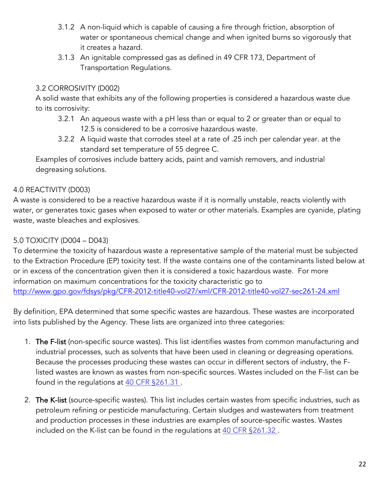- 3.1.2 A non-liquid which is capable of causing a fire through friction, absorption of water or spontaneous chemical change and when ignited burns so vigorously that it creates a hazard.
- 3.1.3 An ignitable compressed gas as defined in 49 CFR 173, Department of Transportation Regulations.

### 3.2 CORROSIVITY (D002)

A solid waste that exhibits any of the following properties is considered a hazardous waste due to its corrosivity:

- 3.2.1 An aqueous waste with a pH less than or equal to 2 or greater than or equal to 12.5 is considered to be a corrosive hazardous waste.
- 3.2.2 A liquid waste that corrodes steel at a rate of .25 inch per calendar year. at the standard set temperature of 55 degree C.

Examples of corrosives include battery acids, paint and varnish removers, and industrial degreasing solutions.

## 4.0 REACTIVITY (D003)

A waste is considered to be a reactive hazardous waste if it is normally unstable, reacts violently with water, or generates toxic gases when exposed to water or other materials. Examples are cyanide, plating waste, waste bleaches and explosives.

## 5.0 TOXICITY (D004 – D043)

To determine the toxicity of hazardous waste a representative sample of the material must be subjected to the Extraction Procedure (EP) toxicity test. If the waste contains one of the contaminants listed below at or in excess of the concentration given then it is considered a toxic hazardous waste. For more information on maximum concentrations for the toxicity characteristic go to http://www.gpo.gov/fdsys/pkg/CFR-2012-title40-vol27/xml/CFR-2012-title40-vol27-sec261-24.xml

By definition, EPA determined that some specific wastes are hazardous. These wastes are incorporated into lists published by the Agency. These lists are organized into three categories:

- 1. The F-list (non-specific source wastes). This list identifies wastes from common manufacturing and industrial processes, such as solvents that have been used in cleaning or degreasing operations. Because the processes producing these wastes can occur in different sectors of industry, the Flisted wastes are known as wastes from non-specific sources. Wastes included on the F-list can be found in the regulations at 40 CFR §261.31.
- 2. The K-list (source-specific wastes). This list includes certain wastes from specific industries, such as petroleum refining or pesticide manufacturing. Certain sludges and wastewaters from treatment and production processes in these industries are examples of source-specific wastes. Wastes included on the K-list can be found in the regulations at 40 CFR §261.32 .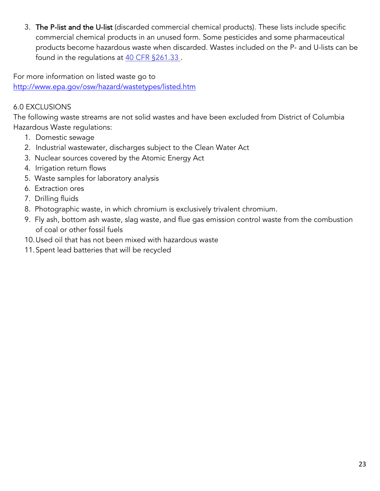3. The P-list and the U-list (discarded commercial chemical products). These lists include specific commercial chemical products in an unused form. Some pesticides and some pharmaceutical products become hazardous waste when discarded. Wastes included on the P- and U-lists can be found in the regulations at 40 CFR §261.33.

For more information on listed waste go to http://www.epa.gov/osw/hazard/wastetypes/listed.htm

### 6.0 EXCLUSIONS

The following waste streams are not solid wastes and have been excluded from District of Columbia Hazardous Waste regulations:

- 1. Domestic sewage
- 2. Industrial wastewater, discharges subject to the Clean Water Act
- 3. Nuclear sources covered by the Atomic Energy Act
- 4. Irrigation return flows
- 5. Waste samples for laboratory analysis
- 6. Extraction ores
- 7. Drilling fluids
- 8. Photographic waste, in which chromium is exclusively trivalent chromium.
- 9. Fly ash, bottom ash waste, slag waste, and flue gas emission control waste from the combustion of coal or other fossil fuels
- 10.Used oil that has not been mixed with hazardous waste
- 11.Spent lead batteries that will be recycled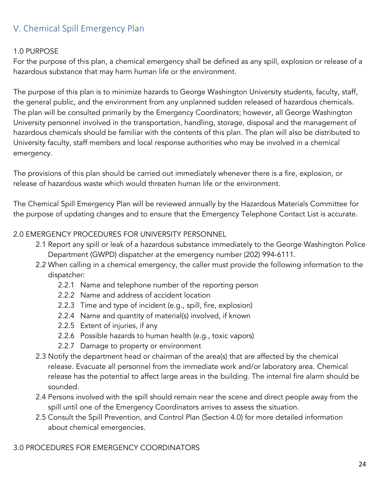# V. Chemical Spill Emergency Plan

### 1.0 PURPOSE

For the purpose of this plan, a chemical emergency shall be defined as any spill, explosion or release of a hazardous substance that may harm human life or the environment.

The purpose of this plan is to minimize hazards to George Washington University students, faculty, staff, the general public, and the environment from any unplanned sudden released of hazardous chemicals. The plan will be consulted primarily by the Emergency Coordinators; however, all George Washington University personnel involved in the transportation, handling, storage, disposal and the management of hazardous chemicals should be familiar with the contents of this plan. The plan will also be distributed to University faculty, staff members and local response authorities who may be involved in a chemical emergency.

The provisions of this plan should be carried out immediately whenever there is a fire, explosion, or release of hazardous waste which would threaten human life or the environment.

The Chemical Spill Emergency Plan will be reviewed annually by the Hazardous Materials Committee for the purpose of updating changes and to ensure that the Emergency Telephone Contact List is accurate.

### 2.0 EMERGENCY PROCEDURES FOR UNIVERSITY PERSONNEL

- 2.1 Report any spill or leak of a hazardous substance immediately to the George Washington Police Department (GWPD) dispatcher at the emergency number (202) 994-6111.
- 2.2 When calling in a chemical emergency, the caller must provide the following information to the dispatcher:
	- 2.2.1 Name and telephone number of the reporting person
	- 2.2.2 Name and address of accident location
	- 2.2.3 Time and type of incident (e.g., spill, fire, explosion)
	- 2.2.4 Name and quantity of material(s) involved, if known
	- 2.2.5 Extent of injuries, if any
	- 2.2.6 Possible hazards to human health (e.g., toxic vapors)
	- 2.2.7 Damage to property or environment
- 2.3 Notify the department head or chairman of the area(s) that are affected by the chemical release. Evacuate all personnel from the immediate work and/or laboratory area. Chemical release has the potential to affect large areas in the building. The internal fire alarm should be sounded.
- 2.4 Persons involved with the spill should remain near the scene and direct people away from the spill until one of the Emergency Coordinators arrives to assess the situation.
- 2.5 Consult the Spill Prevention, and Control Plan (Section 4.0) for more detailed information about chemical emergencies.

### 3.0 PROCEDURES FOR EMERGENCY COORDINATORS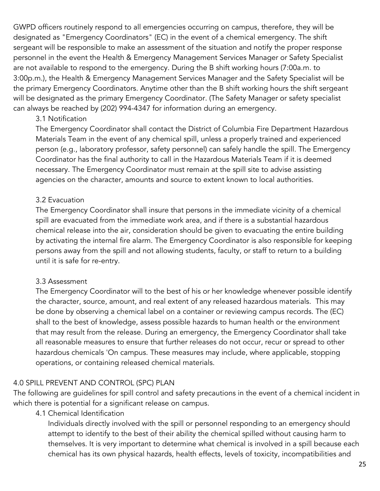GWPD officers routinely respond to all emergencies occurring on campus, therefore, they will be designated as "Emergency Coordinators" (EC) in the event of a chemical emergency. The shift sergeant will be responsible to make an assessment of the situation and notify the proper response personnel in the event the Health & Emergency Management Services Manager or Safety Specialist are not available to respond to the emergency. During the B shift working hours (7:00a.m. to 3:00p.m.), the Health & Emergency Management Services Manager and the Safety Specialist will be the primary Emergency Coordinators. Anytime other than the B shift working hours the shift sergeant will be designated as the primary Emergency Coordinator. (The Safety Manager or safety specialist can always be reached by (202) 994-4347 for information during an emergency.

#### 3.1 Notification

The Emergency Coordinator shall contact the District of Columbia Fire Department Hazardous Materials Team in the event of any chemical spill, unless a properly trained and experienced person (e.g., laboratory professor, safety personnel) can safely handle the spill. The Emergency Coordinator has the final authority to call in the Hazardous Materials Team if it is deemed necessary. The Emergency Coordinator must remain at the spill site to advise assisting agencies on the character, amounts and source to extent known to local authorities.

#### 3.2 Evacuation

The Emergency Coordinator shall insure that persons in the immediate vicinity of a chemical spill are evacuated from the immediate work area, and if there is a substantial hazardous chemical release into the air, consideration should be given to evacuating the entire building by activating the internal fire alarm. The Emergency Coordinator is also responsible for keeping persons away from the spill and not allowing students, faculty, or staff to return to a building until it is safe for re-entry.

#### 3.3 Assessment

The Emergency Coordinator will to the best of his or her knowledge whenever possible identify the character, source, amount, and real extent of any released hazardous materials. This may be done by observing a chemical label on a container or reviewing campus records. The (EC) shall to the best of knowledge, assess possible hazards to human health or the environment that may result from the release. During an emergency, the Emergency Coordinator shall take all reasonable measures to ensure that further releases do not occur, recur or spread to other hazardous chemicals 'On campus. These measures may include, where applicable, stopping operations, or containing released chemical materials.

#### 4.0 SPILL PREVENT AND CONTROL (SPC) PLAN

The following are guidelines for spill control and safety precautions in the event of a chemical incident in which there is potential for a significant release on campus.

#### 4.1 Chemical Identification

Individuals directly involved with the spill or personnel responding to an emergency should attempt to identify to the best of their ability the chemical spilled without causing harm to themselves. It is very important to determine what chemical is involved in a spill because each chemical has its own physical hazards, health effects, levels of toxicity, incompatibilities and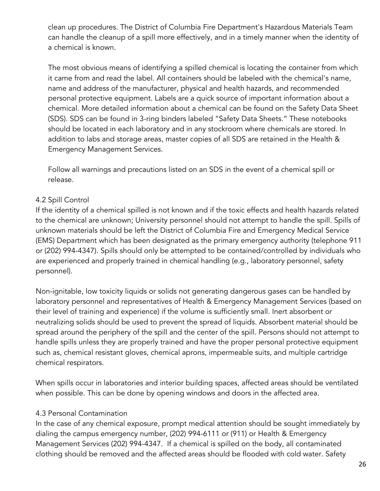clean up procedures. The District of Columbia Fire Department's Hazardous Materials Team can handle the cleanup of a spill more effectively, and in a timely manner when the identity of a chemical is known.

The most obvious means of identifying a spilled chemical is locating the container from which it came from and read the label. All containers should be labeled with the chemical's name, name and address of the manufacturer, physical and health hazards, and recommended personal protective equipment. Labels are a quick source of important information about a chemical. More detailed information about a chemical can be found on the Safety Data Sheet (SDS). SDS can be found in 3-ring binders labeled "Safety Data Sheets." These notebooks should be located in each laboratory and in any stockroom where chemicals are stored. In addition to labs and storage areas, master copies of all SDS are retained in the Health & Emergency Management Services.

Follow all warnings and precautions listed on an SDS in the event of a chemical spill or release.

### 4.2 Spill Control

If the identity of a chemical spilled is not known and if the toxic effects and health hazards related to the chemical are unknown; University personnel should not attempt to handle the spill. Spills of unknown materials should be left the District of Columbia Fire and Emergency Medical Service (EMS) Department which has been designated as the primary emergency authority (telephone 911 or (202) 994-4347). Spills should only be attempted to be contained/controlled by individuals who are experienced and properly trained in chemical handling (e.g., laboratory personnel, safety personnel).

Non-ignitable, low toxicity liquids or solids not generating dangerous gases can be handled by laboratory personnel and representatives of Health & Emergency Management Services (based on their level of training and experience) if the volume is sufficiently small. Inert absorbent or neutralizing solids should be used to prevent the spread of liquids. Absorbent material should be spread around the periphery of the spill and the center of the spill. Persons should not attempt to handle spills unless they are properly trained and have the proper personal protective equipment such as, chemical resistant gloves, chemical aprons, impermeable suits, and multiple cartridge chemical respirators.

When spills occur in laboratories and interior building spaces, affected areas should be ventilated when possible. This can be done by opening windows and doors in the affected area.

#### 4.3 Personal Contamination

In the case of any chemical exposure, prompt medical attention should be sought immediately by dialing the campus emergency number, (202) 994-6111 or (911) or Health & Emergency Management Services (202) 994-4347. If a chemical is spilled on the body, all contaminated clothing should be removed and the affected areas should be flooded with cold water. Safety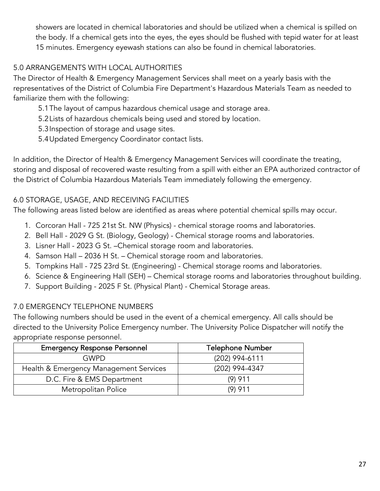showers are located in chemical laboratories and should be utilized when a chemical is spilled on the body. If a chemical gets into the eyes, the eyes should be flushed with tepid water for at least 15 minutes. Emergency eyewash stations can also be found in chemical laboratories.

# 5.0 ARRANGEMENTS WITH LOCAL AUTHORITIES

The Director of Health & Emergency Management Services shall meet on a yearly basis with the representatives of the District of Columbia Fire Department's Hazardous Materials Team as needed to familiarize them with the following:

5.1The layout of campus hazardous chemical usage and storage area.

5.2Lists of hazardous chemicals being used and stored by location.

5.3Inspection of storage and usage sites.

5.4Updated Emergency Coordinator contact lists.

In addition, the Director of Health & Emergency Management Services will coordinate the treating, storing and disposal of recovered waste resulting from a spill with either an EPA authorized contractor of the District of Columbia Hazardous Materials Team immediately following the emergency.

### 6.0 STORAGE, USAGE, AND RECEIVING FACILITIES

The following areas listed below are identified as areas where potential chemical spills may occur.

- 1. Corcoran Hall 725 21st St. NW (Physics) chemical storage rooms and laboratories.
- 2. Bell Hall 2029 G St. (Biology, Geology) Chemical storage rooms and laboratories.
- 3. Lisner Hall 2023 G St. –Chemical storage room and laboratories.
- 4. Samson Hall 2036 H St. Chemical storage room and laboratories.
- 5. Tompkins Hall 725 23rd St. (Engineering) Chemical storage rooms and laboratories.
- 6. Science & Engineering Hall (SEH) Chemical storage rooms and laboratories throughout building.
- 7. Support Building 2025 F St. (Physical Plant) Chemical Storage areas.

### 7.0 EMERGENCY TELEPHONE NUMBERS

The following numbers should be used in the event of a chemical emergency. All calls should be directed to the University Police Emergency number. The University Police Dispatcher will notify the appropriate response personnel.

| <b>Emergency Response Personnel</b>    | <b>Telephone Number</b> |
|----------------------------------------|-------------------------|
| GWPD                                   | $(202)$ 994-6111        |
| Health & Emergency Management Services | (202) 994-4347          |
| D.C. Fire & EMS Department             | $(9)$ 911               |
| Metropolitan Police                    | $(9)$ 911               |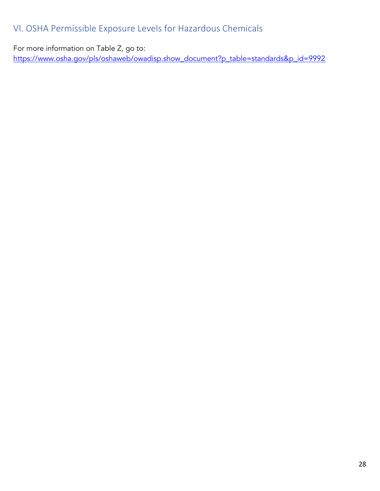# VI. OSHA Permissible Exposure Levels for Hazardous Chemicals

For more information on Table Z, go to:

https://www.osha.gov/pls/oshaweb/owadisp.show\_document?p\_table=standards&p\_id=9992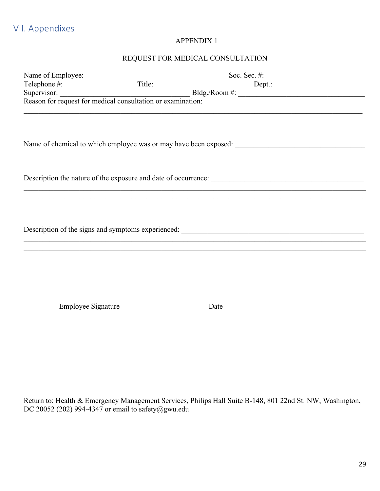#### REQUEST FOR MEDICAL CONSULTATION

|                           | and the control of the control of the control of the control of the control of the control of the control of the |  |
|---------------------------|------------------------------------------------------------------------------------------------------------------|--|
|                           |                                                                                                                  |  |
|                           |                                                                                                                  |  |
|                           |                                                                                                                  |  |
|                           |                                                                                                                  |  |
| <b>Employee Signature</b> | Date                                                                                                             |  |
|                           |                                                                                                                  |  |
|                           |                                                                                                                  |  |

Return to: Health & Emergency Management Services, Philips Hall Suite B-148, 801 22nd St. NW, Washington, DC 20052 (202) 994-4347 or email to safety@gwu.edu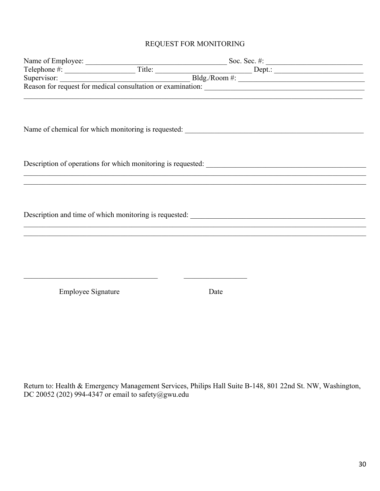#### REQUEST FOR MONITORING

|                           |  | ,我们也不能在这里的人,我们也不能在这里的人,我们也不能在这里的人,我们也不能在这里的人,我们也不能在这里的人,我们也不能在这里的人,我们也不能在这里的人,我们也 |  |
|---------------------------|--|-----------------------------------------------------------------------------------|--|
|                           |  |                                                                                   |  |
|                           |  |                                                                                   |  |
|                           |  |                                                                                   |  |
|                           |  |                                                                                   |  |
|                           |  |                                                                                   |  |
|                           |  |                                                                                   |  |
|                           |  |                                                                                   |  |
|                           |  |                                                                                   |  |
| <b>Employee Signature</b> |  | Date                                                                              |  |
|                           |  |                                                                                   |  |
|                           |  |                                                                                   |  |
|                           |  |                                                                                   |  |
|                           |  |                                                                                   |  |
|                           |  |                                                                                   |  |

Return to: Health & Emergency Management Services, Philips Hall Suite B-148, 801 22nd St. NW, Washington, DC 20052 (202) 994-4347 or email to safety@gwu.edu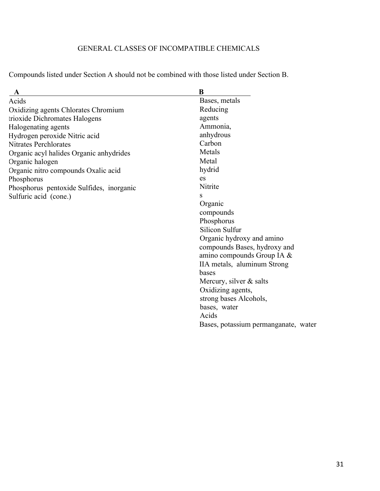### GENERAL CLASSES OF INCOMPATIBLE CHEMICALS

Compounds listed under Section A should not be combined with those listed under Section B.

| $\mathbf A$                              | B                              |
|------------------------------------------|--------------------------------|
| Acids                                    | Bases, metals                  |
| Oxidizing agents Chlorates Chromium      | Reducing                       |
| trioxide Dichromates Halogens            | agents                         |
| Halogenating agents                      | Ammonia,                       |
| Hydrogen peroxide Nitric acid            | anhydrous                      |
| <b>Nitrates Perchlorates</b>             | Carbon                         |
| Organic acyl halides Organic anhydrides  | Metals                         |
| Organic halogen                          | Metal                          |
| Organic nitro compounds Oxalic acid      | hydrid                         |
| Phosphorus                               | es                             |
| Phosphorus pentoxide Sulfides, inorganic | Nitrite                        |
| Sulfuric acid (cone.)                    | S                              |
|                                          | Organic                        |
|                                          | compounds                      |
|                                          | Phosphorus                     |
|                                          | Silicon Sulfur                 |
|                                          | Organic hydroxy and amino      |
|                                          | compounds Bases, hydroxy and   |
|                                          | amino compounds Group IA $\&$  |
|                                          | IIA metals, aluminum Strong    |
|                                          | bases                          |
|                                          | Mercury, silver $&$ salts      |
|                                          | Oxidizing agents,              |
|                                          | strong bases Alcohols,         |
|                                          | bases, water                   |
|                                          | Acids                          |
|                                          | Bases, potassium permanganate, |
|                                          |                                |

water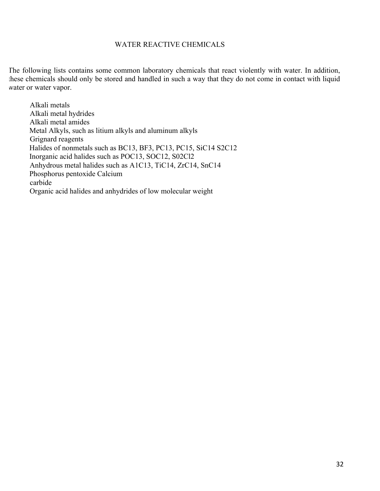#### WATER REACTIVE CHEMICALS

The following lists contains some common laboratory chemicals that react violently with water. In addition, these chemicals should only be stored and handled in such a way that they do not come in contact with liquid water or water vapor.

Alkali metals Alkali metal hydrides Alkali metal amides Metal Alkyls, such as litium alkyls and aluminum alkyls Grignard reagents Halides of nonmetals such as BC13, BF3, PC13, PC15, SiC14 S2C12 Inorganic acid halides such as POC13, SOC12, S02Cl2 Anhydrous metal halides such as A1C13, TiC14, ZrC14, SnC14 Phosphorus pentoxide Calcium carbide Organic acid halides and anhydrides of low molecular weight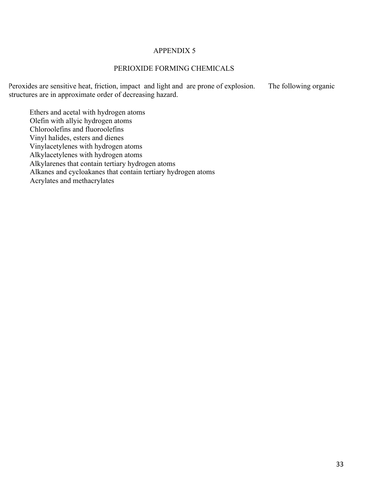#### PERIOXIDE FORMING CHEMICALS

Peroxides are sensitive heat, friction, impact and light and are prone of explosion. The following organic structures are in approximate order of decreasing hazard.

Ethers and acetal with hydrogen atoms Olefin with allyic hydrogen atoms Chloroolefins and fluoroolefins Vinyl halides, esters and dienes Vinylacetylenes with hydrogen atoms Alkylacetylenes with hydrogen atoms Alkylarenes that contain tertiary hydrogen atoms Alkanes and cycloakanes that contain tertiary hydrogen atoms Acrylates and methacrylates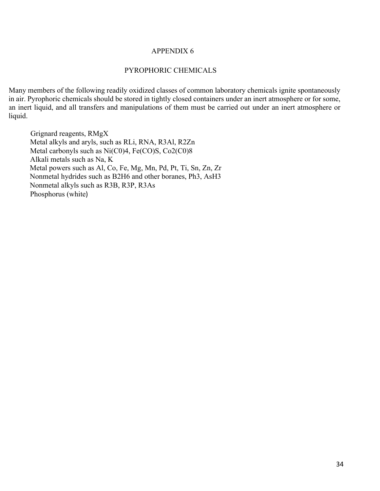#### PYROPHORIC CHEMICALS

Many members of the following readily oxidized classes of common laboratory chemicals ignite spontaneously in air. Pyrophoric chemicals should be stored in tightly closed containers under an inert atmosphere or for some, an inert liquid, and all transfers and manipulations of them must be carried out under an inert atmosphere or liquid.

Grignard reagents, RMgX Metal alkyls and aryls, such as RLi, RNA, R3Al, R2Zn Metal carbonyls such as Ni(C0)4, Fe(CO)S, Co2(C0)8 Alkali metals such as Na, K Metal powers such as Al, Co, Fe, Mg, Mn, Pd, Pt, Ti, Sn, Zn, Zr Nonmetal hydrides such as B2H6 and other boranes, Ph3, AsH3 Nonmetal alkyls such as R3B, R3P, R3As Phosphorus (white)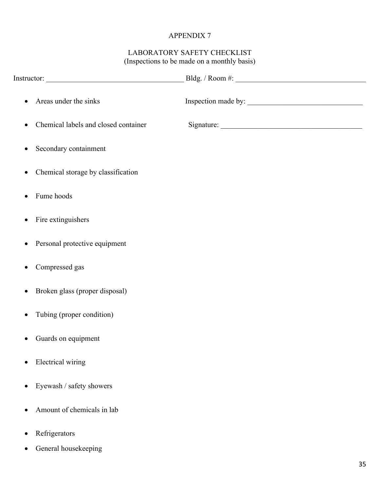#### LABORATORY SAFETY CHECKLIST (Inspections to be made on a monthly basis)

| $\bullet$ | Areas under the sinks                |  |
|-----------|--------------------------------------|--|
|           | Chemical labels and closed container |  |
| $\bullet$ | Secondary containment                |  |
| $\bullet$ | Chemical storage by classification   |  |
|           | Fume hoods                           |  |
| $\bullet$ | Fire extinguishers                   |  |
| $\bullet$ | Personal protective equipment        |  |
| ٠         | Compressed gas                       |  |
| $\bullet$ | Broken glass (proper disposal)       |  |
|           | Tubing (proper condition)            |  |
|           | Guards on equipment                  |  |
|           | Electrical wiring                    |  |
| $\bullet$ | Eyewash / safety showers             |  |
|           | Amount of chemicals in lab           |  |
|           | Refrigerators                        |  |

• General housekeeping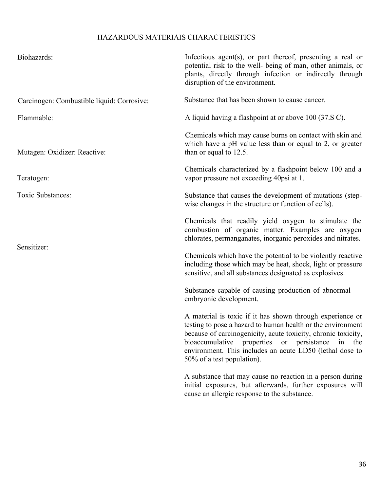### HAZARDOUS MATERIAIS CHARACTERISTICS

| Biohazards:                                | Infectious agent(s), or part thereof, presenting a real or<br>potential risk to the well- being of man, other animals, or<br>plants, directly through infection or indirectly through<br>disruption of the environment.                                                                                                                             |
|--------------------------------------------|-----------------------------------------------------------------------------------------------------------------------------------------------------------------------------------------------------------------------------------------------------------------------------------------------------------------------------------------------------|
| Carcinogen: Combustible liquid: Corrosive: | Substance that has been shown to cause cancer.                                                                                                                                                                                                                                                                                                      |
| Flammable:                                 | A liquid having a flashpoint at or above 100 (37.S C).                                                                                                                                                                                                                                                                                              |
| Mutagen: Oxidizer: Reactive:               | Chemicals which may cause burns on contact with skin and<br>which have a pH value less than or equal to 2, or greater<br>than or equal to 12.5.                                                                                                                                                                                                     |
| Teratogen:                                 | Chemicals characterized by a flashpoint below 100 and a<br>vapor pressure not exceeding 40psi at 1.                                                                                                                                                                                                                                                 |
| Toxic Substances:                          | Substance that causes the development of mutations (step-<br>wise changes in the structure or function of cells).                                                                                                                                                                                                                                   |
|                                            | Chemicals that readily yield oxygen to stimulate the<br>combustion of organic matter. Examples are oxygen<br>chlorates, permanganates, inorganic peroxides and nitrates.                                                                                                                                                                            |
| Sensitizer:                                | Chemicals which have the potential to be violently reactive<br>including those which may be heat, shock, light or pressure<br>sensitive, and all substances designated as explosives.                                                                                                                                                               |
|                                            | Substance capable of causing production of abnormal<br>embryonic development.                                                                                                                                                                                                                                                                       |
|                                            | A material is toxic if it has shown through experience or<br>testing to pose a hazard to human health or the environment<br>because of carcinogenicity, acute toxicity, chronic toxicity,<br>bioaccumulative<br>properties<br>or persistance<br>in<br>the<br>environment. This includes an acute LD50 (lethal dose to<br>50% of a test population). |
|                                            | A substance that may cause no reaction in a person during<br>initial exposures, but afterwards, further exposures will<br>cause an allergic response to the substance.                                                                                                                                                                              |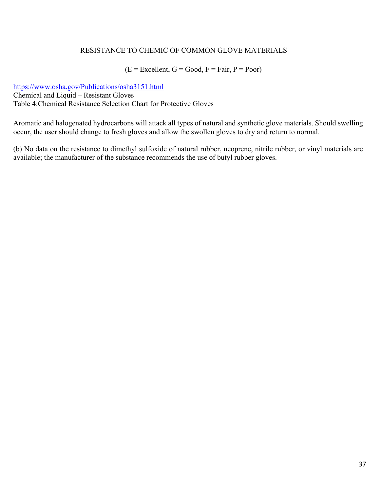#### RESISTANCE TO CHEMIC OF COMMON GLOVE MATERIALS

#### $(E = Excellent, G = Good, F = Fair, P = Poor)$

https://www.osha.gov/Publications/osha3151.html Chemical and Liquid – Resistant Gloves Table 4:Chemical Resistance Selection Chart for Protective Gloves

Aromatic and halogenated hydrocarbons will attack all types of natural and synthetic glove materials. Should swelling occur, the user should change to fresh gloves and allow the swollen gloves to dry and return to normal.

(b) No data on the resistance to dimethyl sulfoxide of natural rubber, neoprene, nitrile rubber, or vinyl materials are available; the manufacturer of the substance recommends the use of butyl rubber gloves.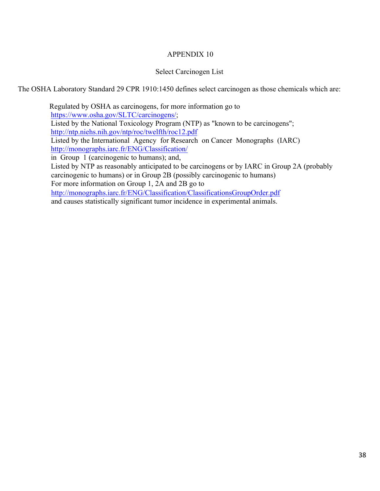#### Select Carcinogen List

The OSHA Laboratory Standard 29 CPR 1910:1450 defines select carcinogen as those chemicals which are:

 Regulated by OSHA as carcinogens, for more information go to https://www.osha.gov/SLTC/carcinogens/; Listed by the National Toxicology Program (NTP) as "known to be carcinogens"; http://ntp.niehs.nih.gov/ntp/roc/twelfth/roc12.pdf Listed by the International Agency for Research on Cancer Monographs (IARC) http://monographs.iarc.fr/ENG/Classification/ in Group 1 (carcinogenic to humans); and, Listed by NTP as reasonably anticipated to be carcinogens or by IARC in Group 2A (probably carcinogenic to humans) or in Group 2B (possibly carcinogenic to humans) For more information on Group 1, 2A and 2B go to http://monographs.iarc.fr/ENG/Classification/ClassificationsGroupOrder.pdf and causes statistically significant tumor incidence in experimental animals.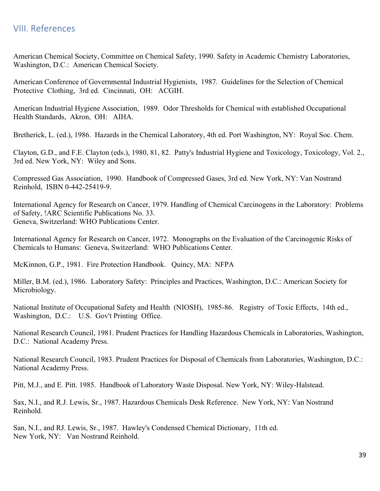## VIII. References

American Chemical Society, Committee on Chemical Safety, 1990. Safety in Academic Chemistry Laboratories, Washington, D.C.: American Chemical Society.

American Conference of Governmental Industrial Hygienists, 1987. Guidelines for the Selection of Chemical Protective Clothing, 3rd ed. Cincinnati, OH: ACGIH.

American Industrial Hygiene Association, 1989. Odor Thresholds for Chemical with established Occupational Health Standards, Akron, OH: AIHA.

Bretherick, L. (ed.), 1986. Hazards in the Chemical Laboratory, 4th ed. Port Washington, NY: Royal Soc. Chem.

Clayton, G.D., and F.E. Clayton (eds.), 1980, 81, 82. Patty's Industrial Hygiene and Toxicology, Toxicology, Vol. 2., 3rd ed. New York, NY: Wiley and Sons.

Compressed Gas Association, 1990. Handbook of Compressed Gases, 3rd ed. New York, NY: Van Nostrand Reinhold, ISBN 0-442-25419-9.

International Agency for Research on Cancer, 1979. Handling of Chemical Carcinogens in the Laboratory: Problems of Safety, !ARC Scientific Publications No. 33. Geneva, Switzerland: WHO Publications Center.

International Agency for Research on Cancer, 1972. Monographs on the Evaluation of the Carcinogenic Risks of Chemicals to Humans: Geneva, Switzerland: WHO Publications Center.

McKinnon, G.P., 1981. Fire Protection Handbook. Quincy, MA: NFPA

Miller, B.M. (ed.), 1986. Laboratory Safety: Principles and Practices, Washington, D.C.: American Society for Microbiology.

National Institute of Occupational Safety and Health (NIOSH), 1985-86. Registry of Toxic Effects, 14th ed., Washington, D.C.: U.S. Gov't Printing Office.

National Research Council, 1981. Prudent Practices for Handling Hazardous Chemicals in Laboratories, Washington, D.C.: National Academy Press.

National Research Council, 1983. Prudent Practices for Disposal of Chemicals from Laboratories, Washington, D.C.: National Academy Press.

Pitt, M.J., and E. Pitt. 1985. Handbook of Laboratory Waste Disposal. New York, NY: Wiley-Halstead.

Sax, N.I., and R.J. Lewis, Sr., 1987. Hazardous Chemicals Desk Reference. New York, NY: Van Nostrand Reinhold.

San, N.I., and RJ. Lewis, Sr., 1987. Hawley's Condensed Chemical Dictionary, 11th ed. New York, NY: Van Nostrand Reinhold.